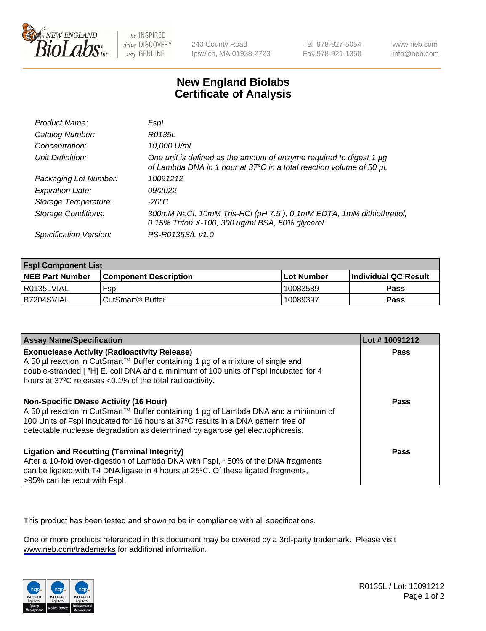

be INSPIRED drive DISCOVERY stay GENUINE

240 County Road Ipswich, MA 01938-2723 Tel 978-927-5054 Fax 978-921-1350

www.neb.com info@neb.com

## **New England Biolabs Certificate of Analysis**

| Product Name:              | Fspl                                                                                                                                        |
|----------------------------|---------------------------------------------------------------------------------------------------------------------------------------------|
| Catalog Number:            | R0135L                                                                                                                                      |
| Concentration:             | 10,000 U/ml                                                                                                                                 |
| Unit Definition:           | One unit is defined as the amount of enzyme required to digest 1 µg<br>of Lambda DNA in 1 hour at 37°C in a total reaction volume of 50 µl. |
| Packaging Lot Number:      | 10091212                                                                                                                                    |
| <b>Expiration Date:</b>    | 09/2022                                                                                                                                     |
| Storage Temperature:       | -20°C                                                                                                                                       |
| <b>Storage Conditions:</b> | 300mM NaCl, 10mM Tris-HCl (pH 7.5), 0.1mM EDTA, 1mM dithiothreitol,<br>0.15% Triton X-100, 300 ug/ml BSA, 50% glycerol                      |
| Specification Version:     | PS-R0135S/L v1.0                                                                                                                            |

| <b>Fspl Component List</b> |                              |             |                             |  |
|----------------------------|------------------------------|-------------|-----------------------------|--|
| <b>NEB Part Number</b>     | <b>Component Description</b> | ⊺Lot Number | <b>Individual QC Result</b> |  |
| R0135LVIAL                 | Fspl                         | 10083589    | <b>Pass</b>                 |  |
| B7204SVIAL                 | ' CutSmart® Buffer_          | 10089397    | Pass                        |  |

| <b>Assay Name/Specification</b>                                                                                                                                                                                                                                                                           | Lot #10091212 |
|-----------------------------------------------------------------------------------------------------------------------------------------------------------------------------------------------------------------------------------------------------------------------------------------------------------|---------------|
| <b>Exonuclease Activity (Radioactivity Release)</b><br>A 50 µl reaction in CutSmart™ Buffer containing 1 µg of a mixture of single and<br>double-stranded [3H] E. coli DNA and a minimum of 100 units of Fspl incubated for 4<br>hours at 37°C releases <0.1% of the total radioactivity.                 | Pass          |
| <b>Non-Specific DNase Activity (16 Hour)</b><br>A 50 µl reaction in CutSmart™ Buffer containing 1 µg of Lambda DNA and a minimum of<br>100 Units of Fspl incubated for 16 hours at 37°C results in a DNA pattern free of<br>detectable nuclease degradation as determined by agarose gel electrophoresis. | <b>Pass</b>   |
| <b>Ligation and Recutting (Terminal Integrity)</b><br>After a 10-fold over-digestion of Lambda DNA with Fspl, ~50% of the DNA fragments<br>can be ligated with T4 DNA ligase in 4 hours at 25°C. Of these ligated fragments,<br>>95% can be recut with Fspl.                                              | Pass          |

This product has been tested and shown to be in compliance with all specifications.

One or more products referenced in this document may be covered by a 3rd-party trademark. Please visit <www.neb.com/trademarks>for additional information.